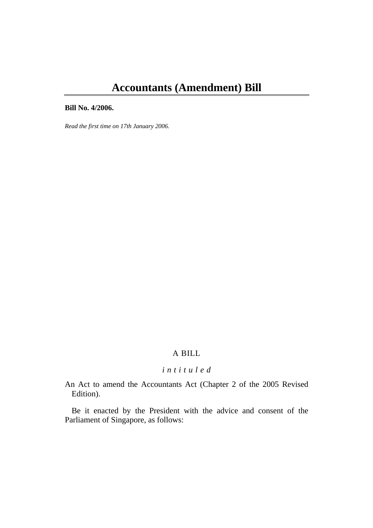# **Accountants (Amendment) Bill**

#### **Bill No. 4/2006.**

*Read the first time on 17th January 2006.* 

## A BILL

## *i n t i t u l e d*

An Act to amend the Accountants Act (Chapter 2 of the 2005 Revised Edition).

Be it enacted by the President with the advice and consent of the Parliament of Singapore, as follows: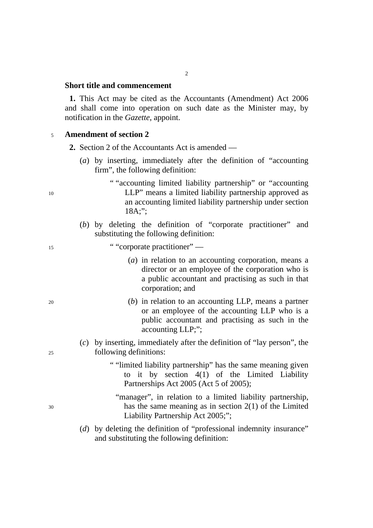#### **Short title and commencement**

**1.** This Act may be cited as the Accountants (Amendment) Act 2006 and shall come into operation on such date as the Minister may, by notification in the *Gazette*, appoint.

#### <sup>5</sup>**Amendment of section 2**

- **2.** Section 2 of the Accountants Act is amended
	- (*a*) by inserting, immediately after the definition of "accounting firm", the following definition:
- " "accounting limited liability partnership" or "accounting 10 LLP" means a limited liability partnership approved as an accounting limited liability partnership under section 18A;";
	- (*b*) by deleting the definition of "corporate practitioner" and substituting the following definition:

#### <sup>15</sup> ""corporate practitioner" —

- (*a*) in relation to an accounting corporation, means a director or an employee of the corporation who is a public accountant and practising as such in that corporation; and
- 20 (*b*) in relation to an accounting LLP, means a partner or an employee of the accounting LLP who is a public accountant and practising as such in the accounting LLP;";
- (*c*) by inserting, immediately after the definition of "lay person", the 25 following definitions:
	- " "limited liability partnership" has the same meaning given to it by section 4(1) of the Limited Liability Partnerships Act 2005 (Act 5 of 2005);
- "manager", in relation to a limited liability partnership, 30 has the same meaning as in section 2(1) of the Limited Liability Partnership Act 2005;";
	- (*d*) by deleting the definition of "professional indemnity insurance" and substituting the following definition: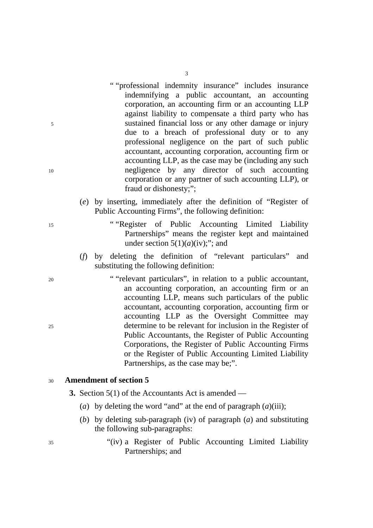- " "professional indemnity insurance" includes insurance indemnifying a public accountant, an accounting corporation, an accounting firm or an accounting LLP against liability to compensate a third party who has 5 sustained financial loss or any other damage or injury due to a breach of professional duty or to any professional negligence on the part of such public accountant, accounting corporation, accounting firm or accounting LLP, as the case may be (including any such 10 negligence by any director of such accounting corporation or any partner of such accounting LLP), or fraud or dishonesty;";
	- (*e*) by inserting, immediately after the definition of "Register of Public Accounting Firms", the following definition:
- 15 " "Register of Public Accounting Limited Liability Partnerships" means the register kept and maintained under section  $5(1)(a)(iv)$ ;"; and
	- (*f*) by deleting the definition of "relevant particulars" and substituting the following definition:
- 20 " "relevant particulars", in relation to a public accountant, an accounting corporation, an accounting firm or an accounting LLP, means such particulars of the public accountant, accounting corporation, accounting firm or accounting LLP as the Oversight Committee may 25 determine to be relevant for inclusion in the Register of Public Accountants, the Register of Public Accounting Corporations, the Register of Public Accounting Firms or the Register of Public Accounting Limited Liability Partnerships, as the case may be;".

#### <sup>30</sup>**Amendment of section 5**

- **3.** Section 5(1) of the Accountants Act is amended
	- (*a*) by deleting the word "and" at the end of paragraph (*a*)(iii);
	- (*b*) by deleting sub-paragraph (iv) of paragraph (*a*) and substituting the following sub-paragraphs:
- 35 "(iv) a Register of Public Accounting Limited Liability Partnerships; and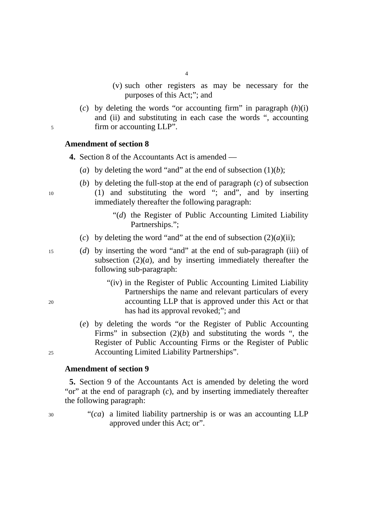- 4
- (v) such other registers as may be necessary for the purposes of this Act;"; and
- (*c*) by deleting the words "or accounting firm" in paragraph (*h*)(i) and (ii) and substituting in each case the words ", accounting 5 firm or accounting LLP".

#### **Amendment of section 8**

**4.** Section 8 of the Accountants Act is amended —

- (*a*) by deleting the word "and" at the end of subsection  $(1)(b)$ ;
- (*b*) by deleting the full-stop at the end of paragraph (*c*) of subsection 10 (1) and substituting the word "; and", and by inserting immediately thereafter the following paragraph:
	- "(*d*) the Register of Public Accounting Limited Liability Partnerships.";
	- (*c*) by deleting the word "and" at the end of subsection  $(2)(a)(ii)$ ;
- 15 (*d*) by inserting the word "and" at the end of sub-paragraph (iii) of subsection  $(2)(a)$ , and by inserting immediately thereafter the following sub-paragraph:
- "(iv) in the Register of Public Accounting Limited Liability Partnerships the name and relevant particulars of every 20 accounting LLP that is approved under this Act or that has had its approval revoked;"; and
- (*e*) by deleting the words "or the Register of Public Accounting Firms" in subsection (2)(*b*) and substituting the words ", the Register of Public Accounting Firms or the Register of Public 25 Accounting Limited Liability Partnerships".

#### **Amendment of section 9**

**5.** Section 9 of the Accountants Act is amended by deleting the word "or" at the end of paragraph (*c*), and by inserting immediately thereafter the following paragraph:

30 "(*ca*) a limited liability partnership is or was an accounting LLP approved under this Act; or".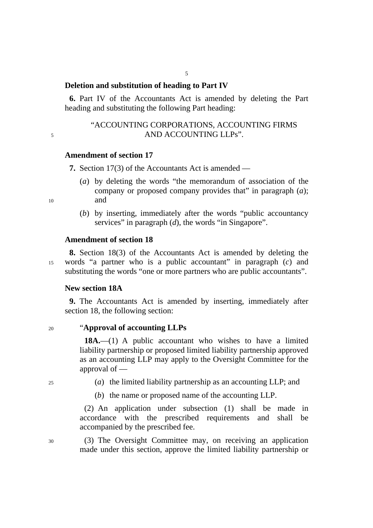## **Deletion and substitution of heading to Part IV**

**6.** Part IV of the Accountants Act is amended by deleting the Part heading and substituting the following Part heading:

## "ACCOUNTING CORPORATIONS, ACCOUNTING FIRMS 5 AND ACCOUNTING LLPs".

#### **Amendment of section 17**

**7.** Section 17(3) of the Accountants Act is amended —

- (*a*) by deleting the words "the memorandum of association of the company or proposed company provides that" in paragraph (*a*); 10 and
	- (*b*) by inserting, immediately after the words "public accountancy services" in paragraph (*d*), the words "in Singapore".

#### **Amendment of section 18**

**8.** Section 18(3) of the Accountants Act is amended by deleting the 15 words "a partner who is a public accountant" in paragraph (*c*) and substituting the words "one or more partners who are public accountants".

#### **New section 18A**

**9.** The Accountants Act is amended by inserting, immediately after section 18, the following section:

#### 20 "**Approval of accounting LLPs**

**18A.**—(1) A public accountant who wishes to have a limited liability partnership or proposed limited liability partnership approved as an accounting LLP may apply to the Oversight Committee for the approval of —

- 25 (*a*) the limited liability partnership as an accounting LLP; and
	- (*b*) the name or proposed name of the accounting LLP.

(2) An application under subsection (1) shall be made in accordance with the prescribed requirements and shall be accompanied by the prescribed fee.

30 (3) The Oversight Committee may, on receiving an application made under this section, approve the limited liability partnership or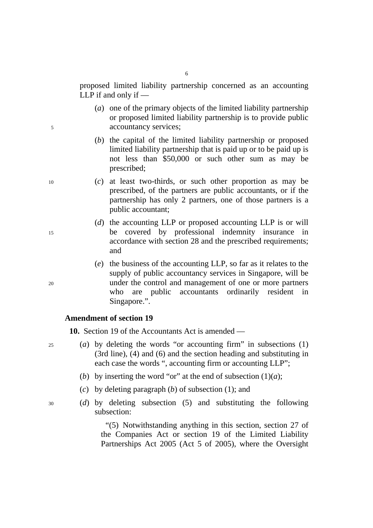proposed limited liability partnership concerned as an accounting LLP if and only if —

- (*a*) one of the primary objects of the limited liability partnership or proposed limited liability partnership is to provide public 5 accountancy services;
	- (*b*) the capital of the limited liability partnership or proposed limited liability partnership that is paid up or to be paid up is not less than \$50,000 or such other sum as may be prescribed;
- 10 (*c*) at least two-thirds, or such other proportion as may be prescribed, of the partners are public accountants, or if the partnership has only 2 partners, one of those partners is a public accountant;
- (*d*) the accounting LLP or proposed accounting LLP is or will 15 be covered by professional indemnity insurance in accordance with section 28 and the prescribed requirements; and
- (*e*) the business of the accounting LLP, so far as it relates to the supply of public accountancy services in Singapore, will be 20 under the control and management of one or more partners who are public accountants ordinarily resident in Singapore.".

#### **Amendment of section 19**

**10.** Section 19 of the Accountants Act is amended —

- 25 (*a*) by deleting the words "or accounting firm" in subsections (1) (3rd line), (4) and (6) and the section heading and substituting in each case the words ", accounting firm or accounting LLP";
	- (*b*) by inserting the word "or" at the end of subsection  $(1)(a)$ ;
	- (*c*) by deleting paragraph (*b*) of subsection (1); and
- 30 (*d*) by deleting subsection (5) and substituting the following subsection:

"(5) Notwithstanding anything in this section, section 27 of the Companies Act or section 19 of the Limited Liability Partnerships Act 2005 (Act 5 of 2005), where the Oversight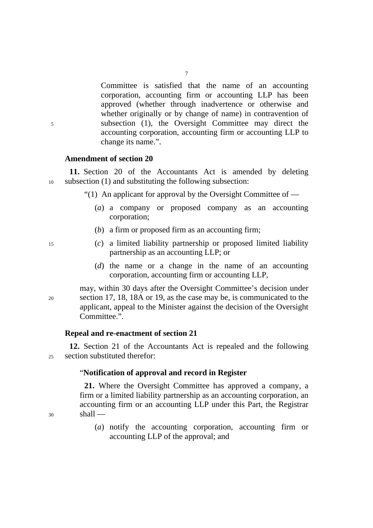Committee is satisfied that the name of an accounting corporation, accounting firm or accounting LLP has been approved (whether through inadvertence or otherwise and whether originally or by change of name) in contravention of 5 subsection (1), the Oversight Committee may direct the accounting corporation, accounting firm or accounting LLP to change its name.".

#### **Amendment of section 20**

**11.** Section 20 of the Accountants Act is amended by deleting 10 subsection (1) and substituting the following subsection:

"(1) An applicant for approval by the Oversight Committee of  $-$ 

- (*a*) a company or proposed company as an accounting corporation;
- (*b*) a firm or proposed firm as an accounting firm;
- 15 (*c*) a limited liability partnership or proposed limited liability partnership as an accounting LLP; or
	- (*d*) the name or a change in the name of an accounting corporation, accounting firm or accounting LLP,

may, within 30 days after the Oversight Committee's decision under 20 section 17, 18, 18A or 19, as the case may be, is communicated to the applicant, appeal to the Minister against the decision of the Oversight Committee.".

#### **Repeal and re-enactment of section 21**

**12.** Section 21 of the Accountants Act is repealed and the following 25 section substituted therefor:

#### "**Notification of approval and record in Register**

**21.** Where the Oversight Committee has approved a company, a firm or a limited liability partnership as an accounting corporation, an accounting firm or an accounting LLP under this Part, the Registrar  $30$  shall —

> (*a*) notify the accounting corporation, accounting firm or accounting LLP of the approval; and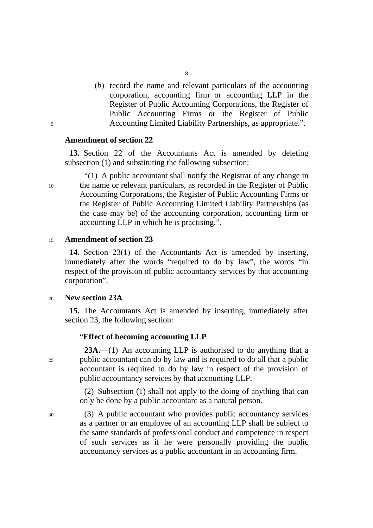(*b*) record the name and relevant particulars of the accounting corporation, accounting firm or accounting LLP in the Register of Public Accounting Corporations, the Register of Public Accounting Firms or the Register of Public 5 Accounting Limited Liability Partnerships, as appropriate.".

#### **Amendment of section 22**

**13.** Section 22 of the Accountants Act is amended by deleting subsection (1) and substituting the following subsection:

"(1) A public accountant shall notify the Registrar of any change in 10 the name or relevant particulars, as recorded in the Register of Public Accounting Corporations, the Register of Public Accounting Firms or the Register of Public Accounting Limited Liability Partnerships (as the case may be) of the accounting corporation, accounting firm or accounting LLP in which he is practising.".

#### <sup>15</sup>**Amendment of section 23**

**14.** Section 23(1) of the Accountants Act is amended by inserting, immediately after the words "required to do by law", the words "in respect of the provision of public accountancy services by that accounting corporation".

#### <sup>20</sup>**New section 23A**

**15.** The Accountants Act is amended by inserting, immediately after section 23, the following section:

#### "**Effect of becoming accounting LLP**

**23A.**—(1) An accounting LLP is authorised to do anything that a 25 public accountant can do by law and is required to do all that a public accountant is required to do by law in respect of the provision of public accountancy services by that accounting LLP.

> (2) Subsection (1) shall not apply to the doing of anything that can only be done by a public accountant as a natural person.

30 (3) A public accountant who provides public accountancy services as a partner or an employee of an accounting LLP shall be subject to the same standards of professional conduct and competence in respect of such services as if he were personally providing the public accountancy services as a public accountant in an accounting firm.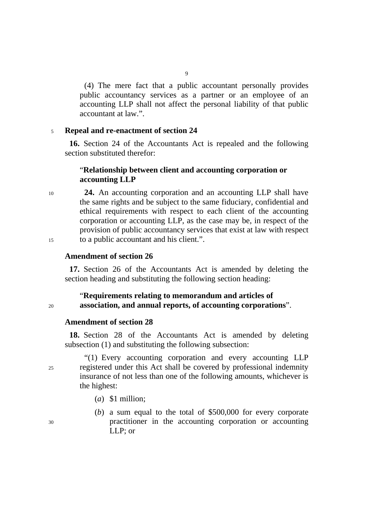(4) The mere fact that a public accountant personally provides public accountancy services as a partner or an employee of an accounting LLP shall not affect the personal liability of that public accountant at law.".

#### <sup>5</sup>**Repeal and re-enactment of section 24**

**16.** Section 24 of the Accountants Act is repealed and the following section substituted therefor:

## "**Relationship between client and accounting corporation or accounting LLP**

<sup>10</sup>**24.** An accounting corporation and an accounting LLP shall have the same rights and be subject to the same fiduciary, confidential and ethical requirements with respect to each client of the accounting corporation or accounting LLP, as the case may be, in respect of the provision of public accountancy services that exist at law with respect 15 to a public accountant and his client.".

#### **Amendment of section 26**

**17.** Section 26 of the Accountants Act is amended by deleting the section heading and substituting the following section heading:

#### "**Requirements relating to memorandum and articles of**  <sup>20</sup>**association, and annual reports, of accounting corporations**".

#### **Amendment of section 28**

**18.** Section 28 of the Accountants Act is amended by deleting subsection (1) and substituting the following subsection:

"(1) Every accounting corporation and every accounting LLP 25 registered under this Act shall be covered by professional indemnity insurance of not less than one of the following amounts, whichever is the highest:

- (*a*) \$1 million;
- (*b*) a sum equal to the total of \$500,000 for every corporate 30 practitioner in the accounting corporation or accounting LLP; or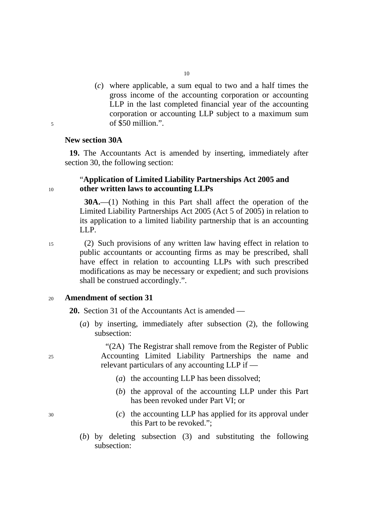(*c*) where applicable, a sum equal to two and a half times the gross income of the accounting corporation or accounting LLP in the last completed financial year of the accounting corporation or accounting LLP subject to a maximum sum 5 of \$50 million.".

#### **New section 30A**

**19.** The Accountants Act is amended by inserting, immediately after section 30, the following section:

## "**Application of Limited Liability Partnerships Act 2005 and**  <sup>10</sup>**other written laws to accounting LLPs**

**30A.**—(1) Nothing in this Part shall affect the operation of the Limited Liability Partnerships Act 2005 (Act 5 of 2005) in relation to its application to a limited liability partnership that is an accounting LLP.

15 (2) Such provisions of any written law having effect in relation to public accountants or accounting firms as may be prescribed, shall have effect in relation to accounting LLPs with such prescribed modifications as may be necessary or expedient; and such provisions shall be construed accordingly.".

#### <sup>20</sup>**Amendment of section 31**

**20.** Section 31 of the Accountants Act is amended —

(*a*) by inserting, immediately after subsection (2), the following subsection:

"(2A) The Registrar shall remove from the Register of Public 25 Accounting Limited Liability Partnerships the name and relevant particulars of any accounting LLP if —

- (*a*) the accounting LLP has been dissolved;
- (*b*) the approval of the accounting LLP under this Part has been revoked under Part VI; or
- 30 (*c*) the accounting LLP has applied for its approval under this Part to be revoked.";
	- (*b*) by deleting subsection (3) and substituting the following subsection: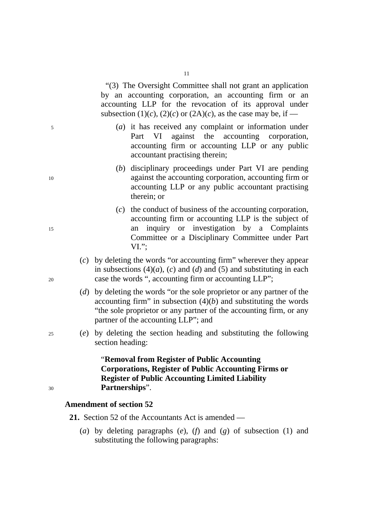"(3) The Oversight Committee shall not grant an application by an accounting corporation, an accounting firm or an accounting LLP for the revocation of its approval under

subsection (1)(*c*), (2)(*c*) or (2A)(*c*), as the case may be, if —

- 5 (*a*) it has received any complaint or information under Part VI against the accounting corporation, accounting firm or accounting LLP or any public accountant practising therein;
- (*b*) disciplinary proceedings under Part VI are pending 10 against the accounting corporation, accounting firm or accounting LLP or any public accountant practising therein; or
- (*c*) the conduct of business of the accounting corporation, accounting firm or accounting LLP is the subject of 15 an inquiry or investigation by a Complaints Committee or a Disciplinary Committee under Part VI.";
- (*c*) by deleting the words "or accounting firm" wherever they appear in subsections  $(4)(a)$ ,  $(c)$  and  $(d)$  and  $(5)$  and substituting in each 20 case the words ", accounting firm or accounting LLP";
	- (*d*) by deleting the words "or the sole proprietor or any partner of the accounting firm" in subsection  $(4)(b)$  and substituting the words "the sole proprietor or any partner of the accounting firm, or any partner of the accounting LLP"; and
- 25 (*e*) by deleting the section heading and substituting the following section heading:

## "**Removal from Register of Public Accounting Corporations, Register of Public Accounting Firms or Register of Public Accounting Limited Liability**  <sup>30</sup>**Partnerships**".

### **Amendment of section 52**

**21.** Section 52 of the Accountants Act is amended —

(*a*) by deleting paragraphs (*e*), (*f*) and (*g*) of subsection (1) and substituting the following paragraphs:

- 
-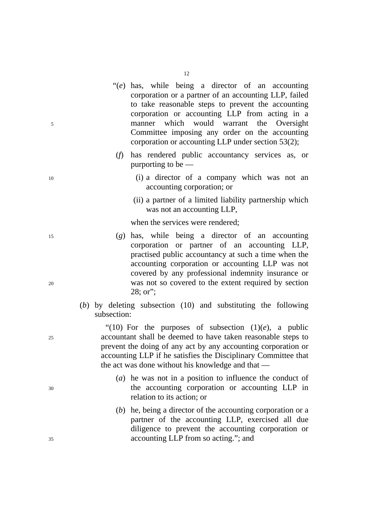"(*e*) has, while being a director of an accounting corporation or a partner of an accounting LLP, failed to take reasonable steps to prevent the accounting

12

- corporation or accounting LLP from acting in a 5 manner which would warrant the Oversight Committee imposing any order on the accounting corporation or accounting LLP under section 53(2);
	- (*f*) has rendered public accountancy services as, or purporting to be —
- 10 (i) a director of a company which was not an accounting corporation; or
	- (ii) a partner of a limited liability partnership which was not an accounting LLP,

when the services were rendered;

- 15 (*g*) has, while being a director of an accounting corporation or partner of an accounting LLP, practised public accountancy at such a time when the accounting corporation or accounting LLP was not covered by any professional indemnity insurance or 20 was not so covered to the extent required by section 28; or";
	- (*b*) by deleting subsection (10) and substituting the following subsection:

"(10) For the purposes of subsection  $(1)(e)$ , a public 25 accountant shall be deemed to have taken reasonable steps to prevent the doing of any act by any accounting corporation or accounting LLP if he satisfies the Disciplinary Committee that the act was done without his knowledge and that —

- (*a*) he was not in a position to influence the conduct of 30 the accounting corporation or accounting LLP in relation to its action; or
- (*b*) he, being a director of the accounting corporation or a partner of the accounting LLP, exercised all due diligence to prevent the accounting corporation or 35 accounting LLP from so acting."; and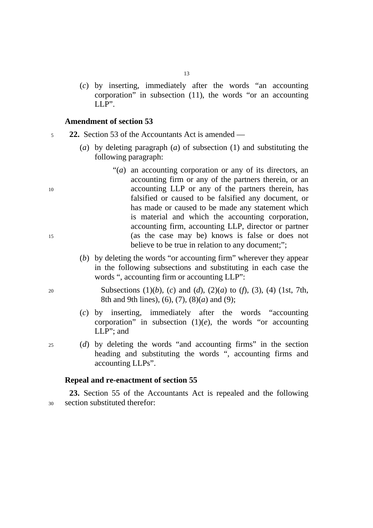(*c*) by inserting, immediately after the words "an accounting corporation" in subsection (11), the words "or an accounting LLP".

#### **Amendment of section 53**

<sup>5</sup>**22.** Section 53 of the Accountants Act is amended —

- (*a*) by deleting paragraph (*a*) of subsection (1) and substituting the following paragraph:
- "(*a*) an accounting corporation or any of its directors, an accounting firm or any of the partners therein, or an 10 accounting LLP or any of the partners therein, has falsified or caused to be falsified any document, or has made or caused to be made any statement which is material and which the accounting corporation, accounting firm, accounting LLP, director or partner 15 (as the case may be) knows is false or does not believe to be true in relation to any document;";
	- (*b*) by deleting the words "or accounting firm" wherever they appear in the following subsections and substituting in each case the words ", accounting firm or accounting LLP":
- 20 Subsections (1)(*b*), (*c*) and (*d*), (2)(*a*) to (*f*), (3), (4) (1st, 7th, 8th and 9th lines), (6), (7), (8)(*a*) and (9);
	- (*c*) by inserting, immediately after the words "accounting corporation" in subsection  $(1)(e)$ , the words "or accounting LLP"; and
- 25 (*d*) by deleting the words "and accounting firms" in the section heading and substituting the words ", accounting firms and accounting LLPs".

#### **Repeal and re-enactment of section 55**

**23.** Section 55 of the Accountants Act is repealed and the following 30 section substituted therefor: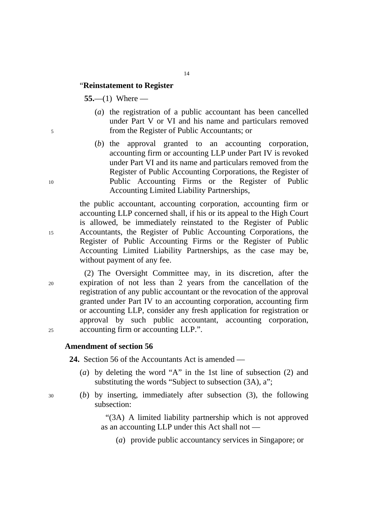#### "**Reinstatement to Register**

**55.**—(1) Where —

- (*a*) the registration of a public accountant has been cancelled under Part V or VI and his name and particulars removed 5 from the Register of Public Accountants; or
- (*b*) the approval granted to an accounting corporation, accounting firm or accounting LLP under Part IV is revoked under Part VI and its name and particulars removed from the Register of Public Accounting Corporations, the Register of 10 Public Accounting Firms or the Register of Public Accounting Limited Liability Partnerships,

the public accountant, accounting corporation, accounting firm or accounting LLP concerned shall, if his or its appeal to the High Court is allowed, be immediately reinstated to the Register of Public 15 Accountants, the Register of Public Accounting Corporations, the Register of Public Accounting Firms or the Register of Public Accounting Limited Liability Partnerships, as the case may be, without payment of any fee.

(2) The Oversight Committee may, in its discretion, after the 20 expiration of not less than 2 years from the cancellation of the registration of any public accountant or the revocation of the approval granted under Part IV to an accounting corporation, accounting firm or accounting LLP, consider any fresh application for registration or approval by such public accountant, accounting corporation, 25 accounting firm or accounting LLP.".

### **Amendment of section 56**

**24.** Section 56 of the Accountants Act is amended —

- (*a*) by deleting the word "A" in the 1st line of subsection (2) and substituting the words "Subject to subsection (3A), a";
- 30 (*b*) by inserting, immediately after subsection (3), the following subsection:

"(3A) A limited liability partnership which is not approved as an accounting LLP under this Act shall not —

(*a*) provide public accountancy services in Singapore; or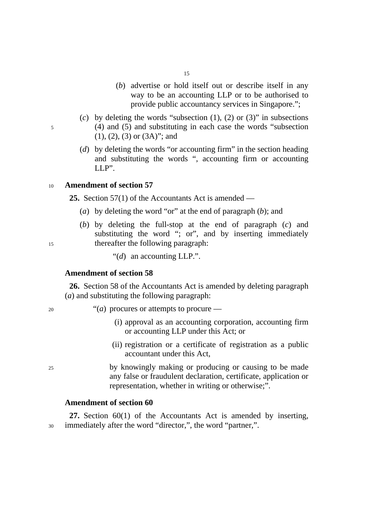- 15
- (*b*) advertise or hold itself out or describe itself in any way to be an accounting LLP or to be authorised to provide public accountancy services in Singapore.";
- (*c*) by deleting the words "subsection (1), (2) or (3)" in subsections 5 (4) and (5) and substituting in each case the words "subsection (1), (2), (3) or (3A)"; and
	- (*d*) by deleting the words "or accounting firm" in the section heading and substituting the words ", accounting firm or accounting LLP".

#### <sup>10</sup>**Amendment of section 57**

**25.** Section 57(1) of the Accountants Act is amended —

- (*a*) by deleting the word "or" at the end of paragraph (*b*); and
- (*b*) by deleting the full-stop at the end of paragraph (*c*) and substituting the word "; or", and by inserting immediately 15 thereafter the following paragraph:

"(*d*) an accounting LLP.".

#### **Amendment of section 58**

**26.** Section 58 of the Accountants Act is amended by deleting paragraph (*a*) and substituting the following paragraph:

<sup>20</sup> <sup>"(*a*)</sup> procures or attempts to procure —

- (i) approval as an accounting corporation, accounting firm or accounting LLP under this Act; or
- (ii) registration or a certificate of registration as a public accountant under this Act,
- 25 by knowingly making or producing or causing to be made any false or fraudulent declaration, certificate, application or representation, whether in writing or otherwise;".

## **Amendment of section 60**

**27.** Section 60(1) of the Accountants Act is amended by inserting, 30 immediately after the word "director,", the word "partner,".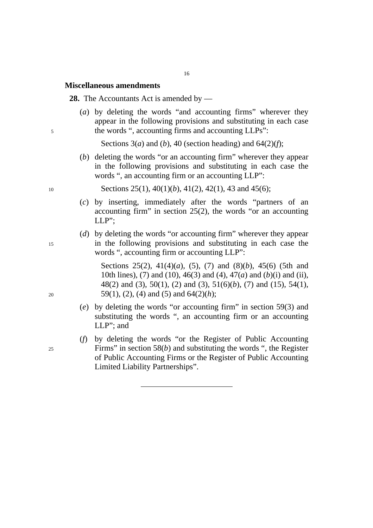#### **Miscellaneous amendments**

**28.** The Accountants Act is amended by —

(*a*) by deleting the words "and accounting firms" wherever they appear in the following provisions and substituting in each case 5 the words ", accounting firms and accounting LLPs":

Sections  $3(a)$  and  $(b)$ ,  $40$  (section heading) and  $64(2)(f)$ ;

(*b*) deleting the words "or an accounting firm" wherever they appear in the following provisions and substituting in each case the words ", an accounting firm or an accounting LLP":

10 Sections 25(1), 40(1)(*b*), 41(2), 42(1), 43 and 45(6);

- (*c*) by inserting, immediately after the words "partners of an accounting firm" in section  $25(2)$ , the words "or an accounting LLP";
- (*d*) by deleting the words "or accounting firm" wherever they appear 15 in the following provisions and substituting in each case the words ", accounting firm or accounting LLP":

Sections 25(2), 41(4)(*a*), (5), (7) and (8)(*b*), 45(6) (5th and 10th lines), (7) and (10), 46(3) and (4), 47(*a*) and (*b*)(i) and (ii), 48(2) and (3), 50(1), (2) and (3), 51(6)(*b*), (7) and (15), 54(1), 20 59(1), (2), (4) and (5) and  $64(2)(h)$ ;

- (*e*) by deleting the words "or accounting firm" in section 59(3) and substituting the words ", an accounting firm or an accounting LLP"; and
- (*f*) by deleting the words "or the Register of Public Accounting 25 Firms" in section 58(*b*) and substituting the words ", the Register of Public Accounting Firms or the Register of Public Accounting Limited Liability Partnerships".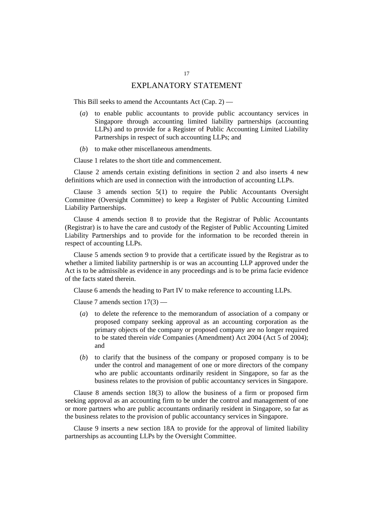## EXPLANATORY STATEMENT

This Bill seeks to amend the Accountants Act (Cap. 2) —

- (*a*) to enable public accountants to provide public accountancy services in Singapore through accounting limited liability partnerships (accounting LLPs) and to provide for a Register of Public Accounting Limited Liability Partnerships in respect of such accounting LLPs; and
- (*b*) to make other miscellaneous amendments.

Clause 1 relates to the short title and commencement.

Clause 2 amends certain existing definitions in section 2 and also inserts 4 new definitions which are used in connection with the introduction of accounting LLPs.

Clause 3 amends section 5(1) to require the Public Accountants Oversight Committee (Oversight Committee) to keep a Register of Public Accounting Limited Liability Partnerships.

Clause 4 amends section 8 to provide that the Registrar of Public Accountants (Registrar) is to have the care and custody of the Register of Public Accounting Limited Liability Partnerships and to provide for the information to be recorded therein in respect of accounting LLPs.

Clause 5 amends section 9 to provide that a certificate issued by the Registrar as to whether a limited liability partnership is or was an accounting LLP approved under the Act is to be admissible as evidence in any proceedings and is to be prima facie evidence of the facts stated therein.

Clause 6 amends the heading to Part IV to make reference to accounting LLPs.

Clause 7 amends section 17(3) —

- (*a*) to delete the reference to the memorandum of association of a company or proposed company seeking approval as an accounting corporation as the primary objects of the company or proposed company are no longer required to be stated therein *vide* Companies (Amendment) Act 2004 (Act 5 of 2004); and
- (*b*) to clarify that the business of the company or proposed company is to be under the control and management of one or more directors of the company who are public accountants ordinarily resident in Singapore, so far as the business relates to the provision of public accountancy services in Singapore.

Clause 8 amends section 18(3) to allow the business of a firm or proposed firm seeking approval as an accounting firm to be under the control and management of one or more partners who are public accountants ordinarily resident in Singapore, so far as the business relates to the provision of public accountancy services in Singapore.

Clause 9 inserts a new section 18A to provide for the approval of limited liability partnerships as accounting LLPs by the Oversight Committee.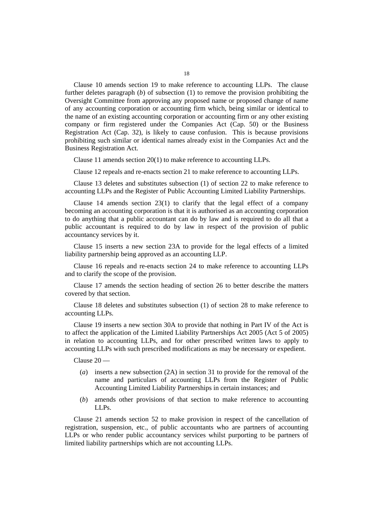Clause 10 amends section 19 to make reference to accounting LLPs. The clause further deletes paragraph (*b*) of subsection (1) to remove the provision prohibiting the Oversight Committee from approving any proposed name or proposed change of name of any accounting corporation or accounting firm which, being similar or identical to the name of an existing accounting corporation or accounting firm or any other existing company or firm registered under the Companies Act (Cap. 50) or the Business Registration Act (Cap. 32), is likely to cause confusion. This is because provisions prohibiting such similar or identical names already exist in the Companies Act and the Business Registration Act.

Clause 11 amends section 20(1) to make reference to accounting LLPs.

Clause 12 repeals and re-enacts section 21 to make reference to accounting LLPs.

Clause 13 deletes and substitutes subsection (1) of section 22 to make reference to accounting LLPs and the Register of Public Accounting Limited Liability Partnerships.

Clause 14 amends section 23(1) to clarify that the legal effect of a company becoming an accounting corporation is that it is authorised as an accounting corporation to do anything that a public accountant can do by law and is required to do all that a public accountant is required to do by law in respect of the provision of public accountancy services by it.

Clause 15 inserts a new section 23A to provide for the legal effects of a limited liability partnership being approved as an accounting LLP.

Clause 16 repeals and re-enacts section 24 to make reference to accounting LLPs and to clarify the scope of the provision.

Clause 17 amends the section heading of section 26 to better describe the matters covered by that section.

Clause 18 deletes and substitutes subsection (1) of section 28 to make reference to accounting LLPs.

Clause 19 inserts a new section 30A to provide that nothing in Part IV of the Act is to affect the application of the Limited Liability Partnerships Act 2005 (Act 5 of 2005) in relation to accounting LLPs, and for other prescribed written laws to apply to accounting LLPs with such prescribed modifications as may be necessary or expedient.

Clause 20 —

- (*a*) inserts a new subsection (2A) in section 31 to provide for the removal of the name and particulars of accounting LLPs from the Register of Public Accounting Limited Liability Partnerships in certain instances; and
- (*b*) amends other provisions of that section to make reference to accounting LLPs.

Clause 21 amends section 52 to make provision in respect of the cancellation of registration, suspension, etc., of public accountants who are partners of accounting LLPs or who render public accountancy services whilst purporting to be partners of limited liability partnerships which are not accounting LLPs.